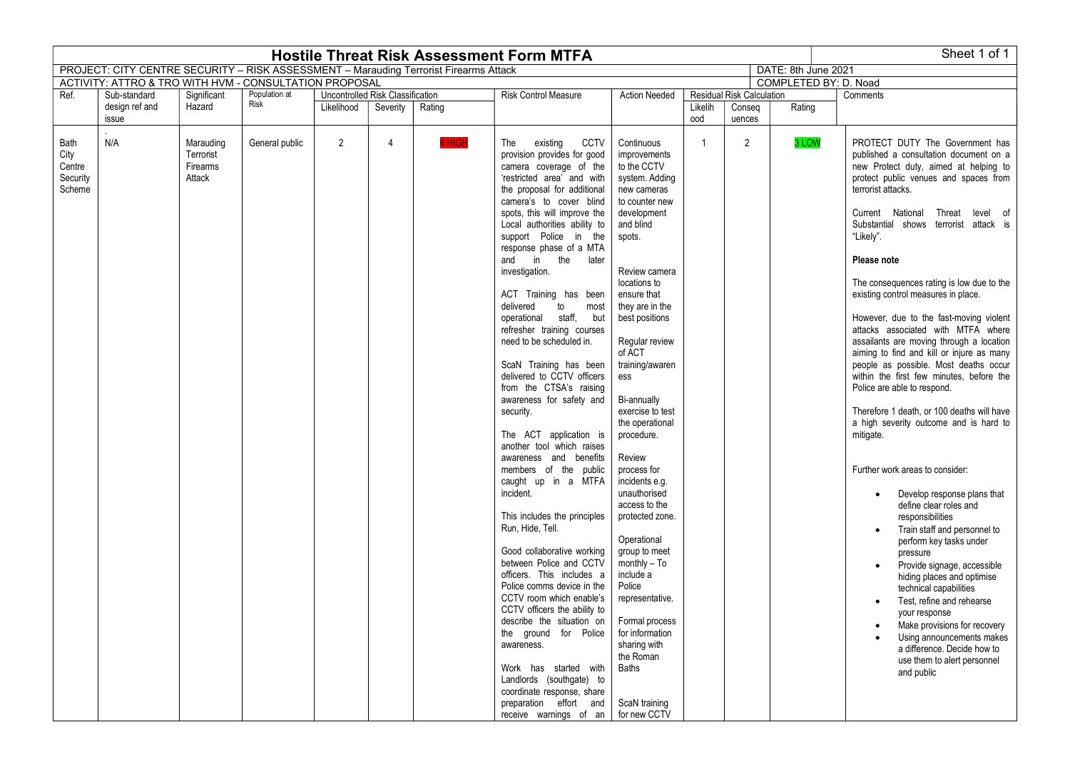| Sheet 1 of 1<br><b>Hostile Threat Risk Assessment Form MTFA</b>                                              |                         |                                              |                       |            |                |                                  |                                                                                                                                                                                                                                                                                                                                                                                                                                                                                                                                                                                                                                                                                                                                                                                                                                                                                                                                                                                                                                                                                                                                                                                                                  |                                                                                                                                                                                                                                                                                                                                                                                                                                                                                                                                                                                                                                                          |                             |                      |                       |                                                                                                                                                                                                                                                                                                                                                                                                                                                                                                                                                                                                                                                                                                                                                                                                                                                                                                                                                                                                                                                                                                                                                                                                                                                           |  |          |
|--------------------------------------------------------------------------------------------------------------|-------------------------|----------------------------------------------|-----------------------|------------|----------------|----------------------------------|------------------------------------------------------------------------------------------------------------------------------------------------------------------------------------------------------------------------------------------------------------------------------------------------------------------------------------------------------------------------------------------------------------------------------------------------------------------------------------------------------------------------------------------------------------------------------------------------------------------------------------------------------------------------------------------------------------------------------------------------------------------------------------------------------------------------------------------------------------------------------------------------------------------------------------------------------------------------------------------------------------------------------------------------------------------------------------------------------------------------------------------------------------------------------------------------------------------|----------------------------------------------------------------------------------------------------------------------------------------------------------------------------------------------------------------------------------------------------------------------------------------------------------------------------------------------------------------------------------------------------------------------------------------------------------------------------------------------------------------------------------------------------------------------------------------------------------------------------------------------------------|-----------------------------|----------------------|-----------------------|-----------------------------------------------------------------------------------------------------------------------------------------------------------------------------------------------------------------------------------------------------------------------------------------------------------------------------------------------------------------------------------------------------------------------------------------------------------------------------------------------------------------------------------------------------------------------------------------------------------------------------------------------------------------------------------------------------------------------------------------------------------------------------------------------------------------------------------------------------------------------------------------------------------------------------------------------------------------------------------------------------------------------------------------------------------------------------------------------------------------------------------------------------------------------------------------------------------------------------------------------------------|--|----------|
| PROJECT: CITY CENTRE SECURITY - RISK ASSESSMENT - Marauding Terrorist Firearms Attack<br>DATE: 8th June 2021 |                         |                                              |                       |            |                |                                  |                                                                                                                                                                                                                                                                                                                                                                                                                                                                                                                                                                                                                                                                                                                                                                                                                                                                                                                                                                                                                                                                                                                                                                                                                  |                                                                                                                                                                                                                                                                                                                                                                                                                                                                                                                                                                                                                                                          |                             |                      |                       |                                                                                                                                                                                                                                                                                                                                                                                                                                                                                                                                                                                                                                                                                                                                                                                                                                                                                                                                                                                                                                                                                                                                                                                                                                                           |  |          |
| ACTIVITY: ATTRO & TRO WITH HVM - CONSULTATION PROPOSAL                                                       |                         |                                              |                       |            |                |                                  |                                                                                                                                                                                                                                                                                                                                                                                                                                                                                                                                                                                                                                                                                                                                                                                                                                                                                                                                                                                                                                                                                                                                                                                                                  |                                                                                                                                                                                                                                                                                                                                                                                                                                                                                                                                                                                                                                                          |                             |                      | COMPLETED BY: D. Noad |                                                                                                                                                                                                                                                                                                                                                                                                                                                                                                                                                                                                                                                                                                                                                                                                                                                                                                                                                                                                                                                                                                                                                                                                                                                           |  |          |
| Ref.                                                                                                         | Sub-standard            | Significant                                  | Population at<br>Risk |            |                | Uncontrolled Risk Classification |                                                                                                                                                                                                                                                                                                                                                                                                                                                                                                                                                                                                                                                                                                                                                                                                                                                                                                                                                                                                                                                                                                                                                                                                                  |                                                                                                                                                                                                                                                                                                                                                                                                                                                                                                                                                                                                                                                          | <b>Risk Control Measure</b> | <b>Action Needed</b> |                       | <b>Residual Risk Calculation</b>                                                                                                                                                                                                                                                                                                                                                                                                                                                                                                                                                                                                                                                                                                                                                                                                                                                                                                                                                                                                                                                                                                                                                                                                                          |  | Comments |
|                                                                                                              | design ref and<br>issue | Hazard                                       |                       | Likelihood | Severity       | Rating                           |                                                                                                                                                                                                                                                                                                                                                                                                                                                                                                                                                                                                                                                                                                                                                                                                                                                                                                                                                                                                                                                                                                                                                                                                                  |                                                                                                                                                                                                                                                                                                                                                                                                                                                                                                                                                                                                                                                          | Likelih<br>ood              | Conseq               | Rating                |                                                                                                                                                                                                                                                                                                                                                                                                                                                                                                                                                                                                                                                                                                                                                                                                                                                                                                                                                                                                                                                                                                                                                                                                                                                           |  |          |
|                                                                                                              |                         |                                              |                       |            |                |                                  |                                                                                                                                                                                                                                                                                                                                                                                                                                                                                                                                                                                                                                                                                                                                                                                                                                                                                                                                                                                                                                                                                                                                                                                                                  |                                                                                                                                                                                                                                                                                                                                                                                                                                                                                                                                                                                                                                                          |                             | uences               |                       |                                                                                                                                                                                                                                                                                                                                                                                                                                                                                                                                                                                                                                                                                                                                                                                                                                                                                                                                                                                                                                                                                                                                                                                                                                                           |  |          |
| Bath<br>City<br>Centre<br>Security<br>Scheme                                                                 | N/A                     | Marauding<br>Terrorist<br>Firearms<br>Attack | General public        | 2          | $\overline{4}$ | <b>SHIGH</b>                     | existing<br><b>CCTV</b><br>The<br>provision provides for good<br>camera coverage of the<br>'restricted area' and with<br>the proposal for additional<br>camera's to cover blind<br>spots, this will improve the<br>Local authorities ability to<br>support Police in the<br>response phase of a MTA<br>and<br>in the<br>later<br>investigation.<br>ACT Training has been<br>delivered<br>to<br>most<br>operational staff, but<br>refresher training courses<br>need to be scheduled in.<br>ScaN Training has been<br>delivered to CCTV officers<br>from the CTSA's raising<br>awareness for safety and<br>security.<br>The ACT application is<br>another tool which raises<br>awareness and benefits<br>members of the public<br>caught up in a MTFA<br>incident.<br>This includes the principles<br>Run, Hide, Tell.<br>Good collaborative working<br>between Police and CCTV<br>officers. This includes a<br>Police comms device in the<br>CCTV room which enable's<br>CCTV officers the ability to<br>describe the situation on<br>the ground for Police<br>awareness.<br>Work has started with<br>Landlords (southgate) to<br>coordinate response, share<br>preparation effort and<br>receive warnings of an | Continuous<br>improvements<br>to the CCTV<br>system. Adding<br>new cameras<br>to counter new<br>development<br>and blind<br>spots.<br>Review camera<br>locations to<br>ensure that<br>they are in the<br>best positions<br>Regular review<br>of ACT<br>training/awaren<br>ess<br>Bi-annually<br>exercise to test<br>the operational<br>procedure.<br>Review<br>process for<br>incidents e.g.<br>unauthorised<br>access to the<br>protected zone.<br>Operational<br>group to meet<br>$monthly - To$<br>include a<br>Police<br>representative.<br>Formal process<br>for information<br>sharing with<br>the Roman<br>Baths<br>ScaN training<br>for new CCTV | $\overline{1}$              | 2                    | 3 LOW                 | PROTECT DUTY The Government has<br>published a consultation document on a<br>new Protect duty, aimed at helping to<br>protect public venues and spaces from<br>terrorist attacks.<br>Current National<br>Threat level of<br>Substantial shows terrorist attack is<br>"Likely".<br>Please note<br>The consequences rating is low due to the<br>existing control measures in place.<br>However, due to the fast-moving violent<br>attacks associated with MTFA where<br>assailants are moving through a location<br>aiming to find and kill or injure as many<br>people as possible. Most deaths occur<br>within the first few minutes, before the<br>Police are able to respond.<br>Therefore 1 death, or 100 deaths will have<br>a high severity outcome and is hard to<br>mitigate.<br>Further work areas to consider:<br>Develop response plans that<br>define clear roles and<br>responsibilities<br>Train staff and personnel to<br>perform key tasks under<br>pressure<br>Provide signage, accessible<br>hiding places and optimise<br>technical capabilities<br>Test, refine and rehearse<br>your response<br>Make provisions for recovery<br>Using announcements makes<br>a difference. Decide how to<br>use them to alert personnel<br>and public |  |          |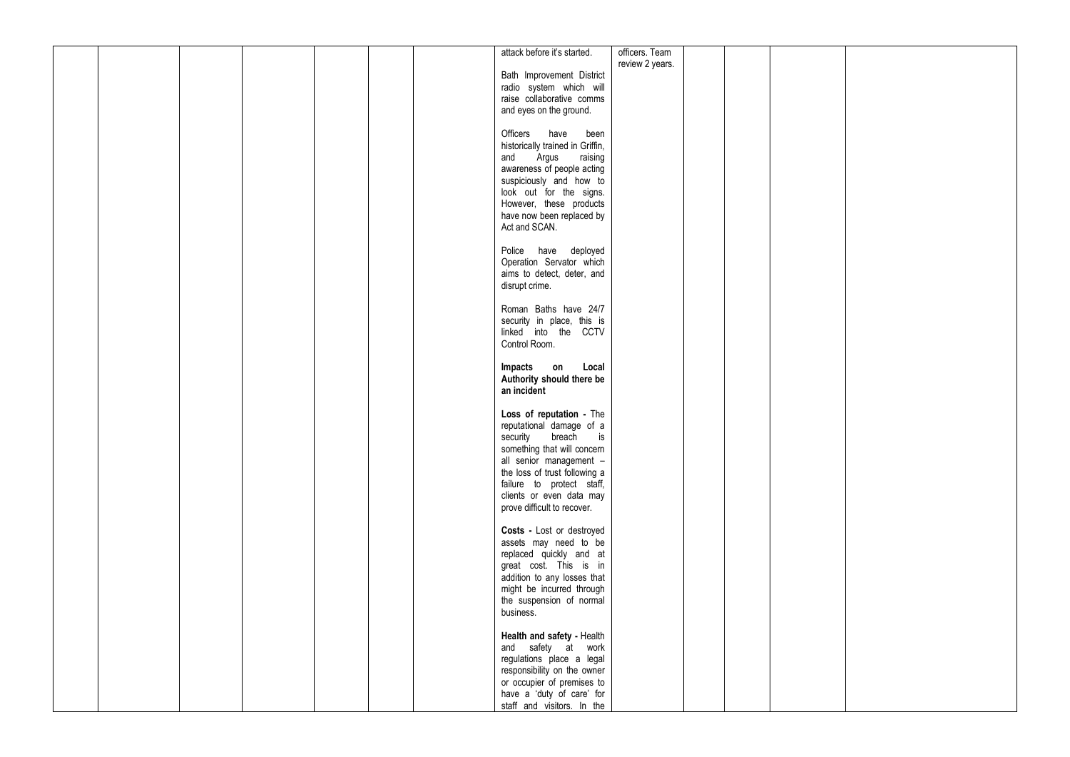|  |  |  | attack before it's started.                                | officers. Team  |  |  |
|--|--|--|------------------------------------------------------------|-----------------|--|--|
|  |  |  |                                                            | review 2 years. |  |  |
|  |  |  | Bath Improvement District                                  |                 |  |  |
|  |  |  | radio system which will                                    |                 |  |  |
|  |  |  | raise collaborative comms                                  |                 |  |  |
|  |  |  | and eyes on the ground.                                    |                 |  |  |
|  |  |  |                                                            |                 |  |  |
|  |  |  | Officers have<br>been                                      |                 |  |  |
|  |  |  | historically trained in Griffin,                           |                 |  |  |
|  |  |  | and Argus<br>raising                                       |                 |  |  |
|  |  |  | awareness of people acting                                 |                 |  |  |
|  |  |  | suspiciously and how to                                    |                 |  |  |
|  |  |  | look out for the signs.                                    |                 |  |  |
|  |  |  | However, these products                                    |                 |  |  |
|  |  |  | have now been replaced by                                  |                 |  |  |
|  |  |  | Act and SCAN.                                              |                 |  |  |
|  |  |  |                                                            |                 |  |  |
|  |  |  | Police have deployed                                       |                 |  |  |
|  |  |  | Operation Servator which                                   |                 |  |  |
|  |  |  | aims to detect, deter, and                                 |                 |  |  |
|  |  |  | disrupt crime.                                             |                 |  |  |
|  |  |  |                                                            |                 |  |  |
|  |  |  | Roman Baths have 24/7                                      |                 |  |  |
|  |  |  | security in place, this is                                 |                 |  |  |
|  |  |  | linked into the CCTV                                       |                 |  |  |
|  |  |  | Control Room.                                              |                 |  |  |
|  |  |  |                                                            |                 |  |  |
|  |  |  | $\mathsf{on}$<br>Local<br>Impacts                          |                 |  |  |
|  |  |  | Authority should there be                                  |                 |  |  |
|  |  |  | an incident                                                |                 |  |  |
|  |  |  |                                                            |                 |  |  |
|  |  |  | Loss of reputation - The                                   |                 |  |  |
|  |  |  | reputational damage of a<br>breach is                      |                 |  |  |
|  |  |  | security                                                   |                 |  |  |
|  |  |  | something that will concern<br>all senior management -     |                 |  |  |
|  |  |  |                                                            |                 |  |  |
|  |  |  | the loss of trust following a<br>failure to protect staff, |                 |  |  |
|  |  |  | clients or even data may                                   |                 |  |  |
|  |  |  | prove difficult to recover.                                |                 |  |  |
|  |  |  |                                                            |                 |  |  |
|  |  |  | Costs - Lost or destroyed                                  |                 |  |  |
|  |  |  | assets may need to be                                      |                 |  |  |
|  |  |  | replaced quickly and at                                    |                 |  |  |
|  |  |  | great cost. This is in                                     |                 |  |  |
|  |  |  | addition to any losses that                                |                 |  |  |
|  |  |  | might be incurred through                                  |                 |  |  |
|  |  |  | the suspension of normal                                   |                 |  |  |
|  |  |  | business.                                                  |                 |  |  |
|  |  |  |                                                            |                 |  |  |
|  |  |  | Health and safety - Health                                 |                 |  |  |
|  |  |  | and safety at work                                         |                 |  |  |
|  |  |  | regulations place a legal                                  |                 |  |  |
|  |  |  | responsibility on the owner                                |                 |  |  |
|  |  |  | or occupier of premises to                                 |                 |  |  |
|  |  |  | have a 'duty of care' for                                  |                 |  |  |
|  |  |  | staff and visitors. In the                                 |                 |  |  |